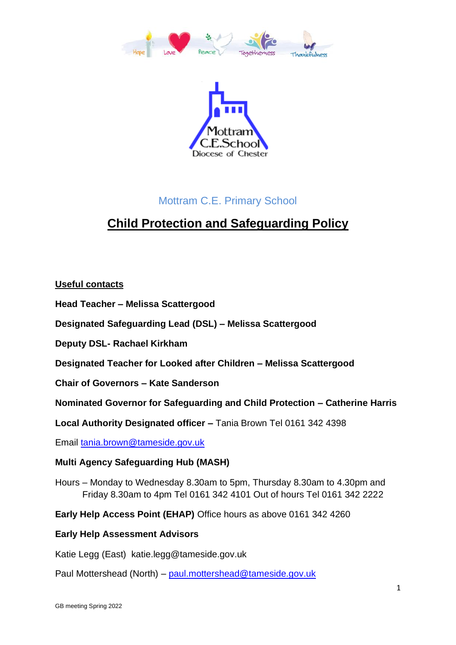



## Mottram C.E. Primary School

## **Child Protection and Safeguarding Policy**

## **Useful contacts**

**Head Teacher – Melissa Scattergood**

**Designated Safeguarding Lead (DSL) – Melissa Scattergood**

**Deputy DSL- Rachael Kirkham**

**Designated Teacher for Looked after Children – Melissa Scattergood**

**Chair of Governors – Kate Sanderson**

**Nominated Governor for Safeguarding and Child Protection – Catherine Harris**

**Local Authority Designated officer –** Tania Brown Tel 0161 342 4398

Email [tania.brown@tameside.gov.uk](mailto:tania.brown@tameside.gov.uk)

## **Multi Agency Safeguarding Hub (MASH)**

Hours – Monday to Wednesday 8.30am to 5pm, Thursday 8.30am to 4.30pm and Friday 8.30am to 4pm Tel 0161 342 4101 Out of hours Tel 0161 342 2222

**Early Help Access Point (EHAP)** Office hours as above 0161 342 4260

## **Early Help Assessment Advisors**

Katie Legg (East) katie.legg@tameside.gov.uk

Paul Mottershead (North) – [paul.mottershead@tameside.gov.uk](mailto:paul.mottershead@tameside.gov.uk)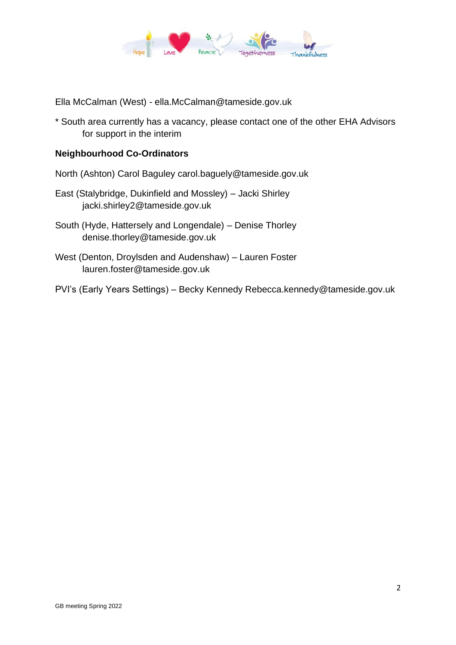

Ella McCalman (West) - ella.McCalman@tameside.gov.uk

\* South area currently has a vacancy, please contact one of the other EHA Advisors for support in the interim

## **Neighbourhood Co-Ordinators**

North (Ashton) Carol Baguley carol.baguely@tameside.gov.uk

- East (Stalybridge, Dukinfield and Mossley) Jacki Shirley jacki.shirley2@tameside.gov.uk
- South (Hyde, Hattersely and Longendale) Denise Thorley denise.thorley@tameside.gov.uk
- West (Denton, Droylsden and Audenshaw) Lauren Foster lauren.foster@tameside.gov.uk
- PVI's (Early Years Settings) Becky Kennedy Rebecca.kennedy@tameside.gov.uk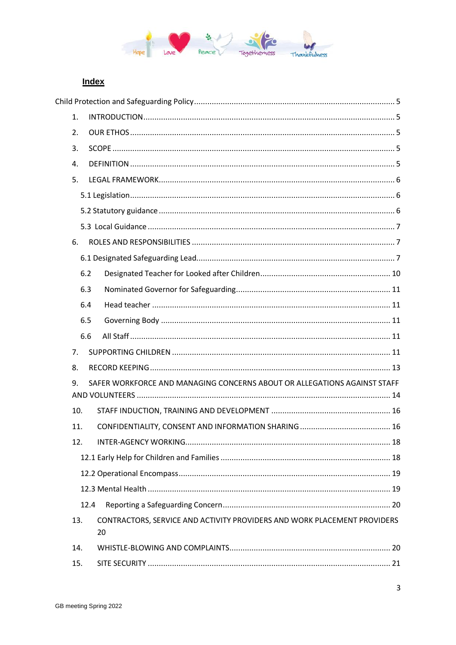

## **Index**

| 1.  |      |                                                                                |  |
|-----|------|--------------------------------------------------------------------------------|--|
| 2.  |      |                                                                                |  |
| 3.  |      |                                                                                |  |
| 4.  |      |                                                                                |  |
| 5.  |      |                                                                                |  |
|     |      |                                                                                |  |
|     |      |                                                                                |  |
|     |      |                                                                                |  |
| 6.  |      |                                                                                |  |
|     |      |                                                                                |  |
|     | 6.2  |                                                                                |  |
|     | 6.3  |                                                                                |  |
|     | 6.4  |                                                                                |  |
|     | 6.5  |                                                                                |  |
|     | 6.6  |                                                                                |  |
| 7.  |      |                                                                                |  |
| 8.  |      |                                                                                |  |
| 9.  |      | SAFER WORKFORCE AND MANAGING CONCERNS ABOUT OR ALLEGATIONS AGAINST STAFF       |  |
| 10. |      |                                                                                |  |
| 11. |      |                                                                                |  |
| 12. |      |                                                                                |  |
|     |      |                                                                                |  |
|     |      |                                                                                |  |
|     |      |                                                                                |  |
|     | 12.4 |                                                                                |  |
| 13. |      | CONTRACTORS, SERVICE AND ACTIVITY PROVIDERS AND WORK PLACEMENT PROVIDERS<br>20 |  |
| 14. |      |                                                                                |  |
| 15. |      |                                                                                |  |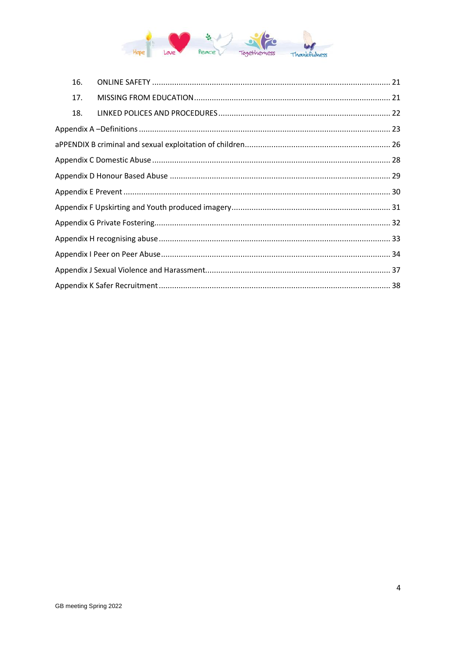

| 16. |  |  |  |  |
|-----|--|--|--|--|
| 17. |  |  |  |  |
| 18. |  |  |  |  |
|     |  |  |  |  |
|     |  |  |  |  |
|     |  |  |  |  |
|     |  |  |  |  |
|     |  |  |  |  |
|     |  |  |  |  |
|     |  |  |  |  |
|     |  |  |  |  |
|     |  |  |  |  |
|     |  |  |  |  |
|     |  |  |  |  |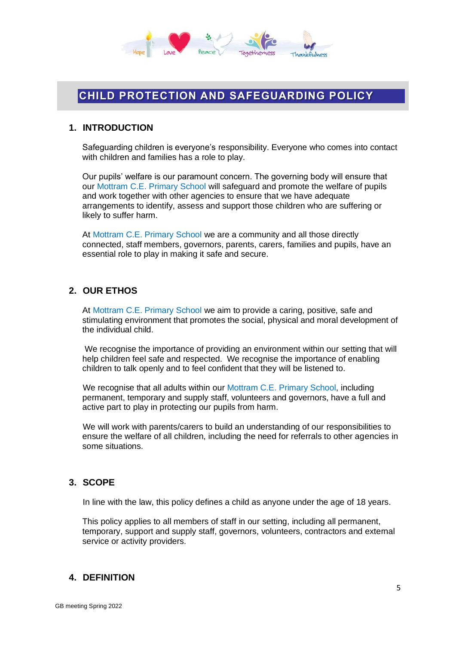

## **CHILD PROTECTION AND SAFEGUARDING POLICY**

## <span id="page-4-0"></span>**1. INTRODUCTION**

Safeguarding children is everyone's responsibility. Everyone who comes into contact with children and families has a role to play.

Our pupils' welfare is our paramount concern. The governing body will ensure that our Mottram C.E. Primary School will safeguard and promote the welfare of pupils and work together with other agencies to ensure that we have adequate arrangements to identify, assess and support those children who are suffering or likely to suffer harm.

At Mottram C.E. Primary School we are a community and all those directly connected, staff members, governors, parents, carers, families and pupils, have an essential role to play in making it safe and secure.

### <span id="page-4-1"></span>**2. OUR ETHOS**

At Mottram C.E. Primary School we aim to provide a caring, positive, safe and stimulating environment that promotes the social, physical and moral development of the individual child.

We recognise the importance of providing an environment within our setting that will help children feel safe and respected. We recognise the importance of enabling children to talk openly and to feel confident that they will be listened to.

We recognise that all adults within our Mottram C.E. Primary School, including permanent, temporary and supply staff, volunteers and governors, have a full and active part to play in protecting our pupils from harm.

We will work with parents/carers to build an understanding of our responsibilities to ensure the welfare of all children, including the need for referrals to other agencies in some situations.

## <span id="page-4-2"></span>**3. SCOPE**

In line with the law, this policy defines a child as anyone under the age of 18 years.

This policy applies to all members of staff in our setting, including all permanent, temporary, support and supply staff, governors, volunteers, contractors and external service or activity providers.

## <span id="page-4-3"></span>**4. DEFINITION**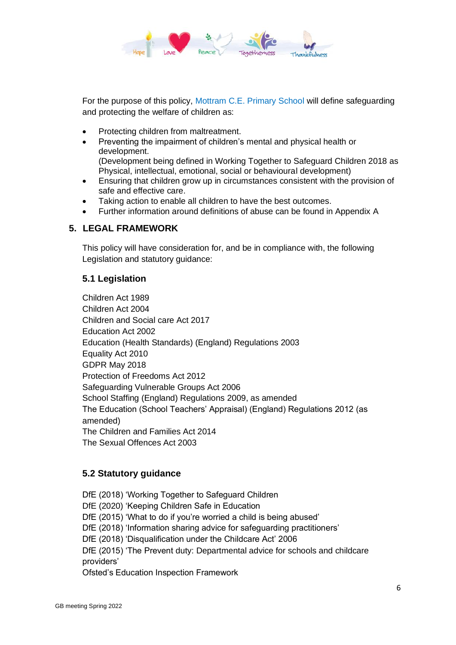

For the purpose of this policy, Mottram C.E. Primary School will define safeguarding and protecting the welfare of children as:

- Protecting children from maltreatment.
- Preventing the impairment of children's mental and physical health or development.
	- (Development being defined in Working Together to Safeguard Children 2018 as Physical, intellectual, emotional, social or behavioural development)
- Ensuring that children grow up in circumstances consistent with the provision of safe and effective care.
- Taking action to enable all children to have the best outcomes.
- Further information around definitions of abuse can be found in Appendix A

## <span id="page-5-0"></span>**5. LEGAL FRAMEWORK**

This policy will have consideration for, and be in compliance with, the following Legislation and statutory guidance:

## <span id="page-5-1"></span>**5.1 Legislation**

Children Act 1989 Children Act 2004 Children and Social care Act 2017 Education Act 2002 Education (Health Standards) (England) Regulations 2003 Equality Act 2010 GDPR May 2018 Protection of Freedoms Act 2012 Safeguarding Vulnerable Groups Act 2006 School Staffing (England) Regulations 2009, as amended The Education (School Teachers' Appraisal) (England) Regulations 2012 (as amended) The Children and Families Act 2014 The Sexual Offences Act 2003

## <span id="page-5-2"></span>**5.2 Statutory guidance**

DfE (2018) 'Working Together to Safeguard Children DfE (2020) 'Keeping Children Safe in Education DfE (2015) 'What to do if you're worried a child is being abused' DfE (2018) 'Information sharing advice for safeguarding practitioners' DfE (2018) 'Disqualification under the Childcare Act' 2006 DfE (2015) 'The Prevent duty: Departmental advice for schools and childcare providers' Ofsted's Education Inspection Framework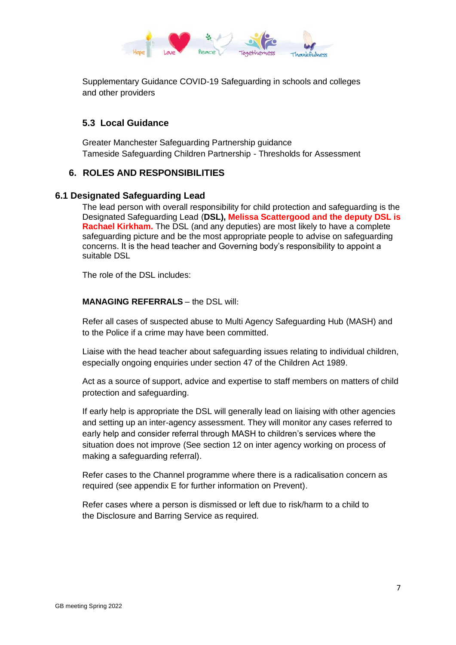

Supplementary Guidance COVID-19 Safeguarding in schools and colleges and other providers

## <span id="page-6-0"></span>**5.3 Local Guidance**

Greater Manchester Safeguarding Partnership guidance Tameside Safeguarding Children Partnership - Thresholds for Assessment

### <span id="page-6-1"></span>**6. ROLES AND RESPONSIBILITIES**

#### <span id="page-6-2"></span>**6.1 Designated Safeguarding Lead**

The lead person with overall responsibility for child protection and safeguarding is the Designated Safeguarding Lead (**DSL), Melissa Scattergood and the deputy DSL is Rachael Kirkham.** The DSL (and any deputies) are most likely to have a complete safeguarding picture and be the most appropriate people to advise on safeguarding concerns. It is the head teacher and Governing body's responsibility to appoint a suitable DSL

The role of the DSL includes:

#### **MANAGING REFERRALS** – the DSL will:

Refer all cases of suspected abuse to Multi Agency Safeguarding Hub (MASH) and to the Police if a crime may have been committed.

Liaise with the head teacher about safeguarding issues relating to individual children, especially ongoing enquiries under section 47 of the Children Act 1989.

Act as a source of support, advice and expertise to staff members on matters of child protection and safeguarding.

If early help is appropriate the DSL will generally lead on liaising with other agencies and setting up an inter-agency assessment. They will monitor any cases referred to early help and consider referral through MASH to children's services where the situation does not improve (See section 12 on inter agency working on process of making a safeguarding referral).

Refer cases to the Channel programme where there is a radicalisation concern as required (see appendix E for further information on Prevent).

Refer cases where a person is dismissed or left due to risk/harm to a child to the Disclosure and Barring Service as required.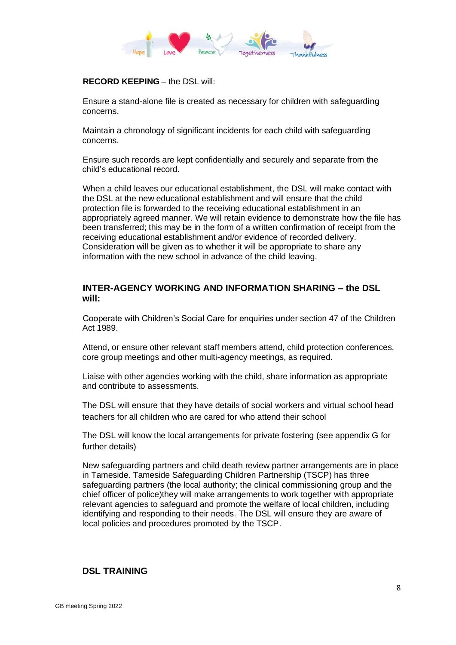

#### **RECORD KEEPING** – the DSL will:

Ensure a stand-alone file is created as necessary for children with safeguarding concerns.

Maintain a chronology of significant incidents for each child with safeguarding concerns.

Ensure such records are kept confidentially and securely and separate from the child's educational record.

When a child leaves our educational establishment, the DSL will make contact with the DSL at the new educational establishment and will ensure that the child protection file is forwarded to the receiving educational establishment in an appropriately agreed manner. We will retain evidence to demonstrate how the file has been transferred; this may be in the form of a written confirmation of receipt from the receiving educational establishment and/or evidence of recorded delivery. Consideration will be given as to whether it will be appropriate to share any information with the new school in advance of the child leaving.

## **INTER-AGENCY WORKING AND INFORMATION SHARING – the DSL will:**

Cooperate with Children's Social Care for enquiries under section 47 of the Children Act 1989.

Attend, or ensure other relevant staff members attend, child protection conferences, core group meetings and other multi-agency meetings, as required.

Liaise with other agencies working with the child, share information as appropriate and contribute to assessments.

The DSL will ensure that they have details of social workers and virtual school head teachers for all children who are cared for who attend their school

The DSL will know the local arrangements for private fostering (see appendix G for further details)

New safeguarding partners and child death review partner arrangements are in place in Tameside. Tameside Safeguarding Children Partnership (TSCP) has three safeguarding partners (the local authority; the clinical commissioning group and the chief officer of police)they will make arrangements to work together with appropriate relevant agencies to safeguard and promote the welfare of local children, including identifying and responding to their needs. The DSL will ensure they are aware of local policies and procedures promoted by the TSCP.

## **DSL TRAINING**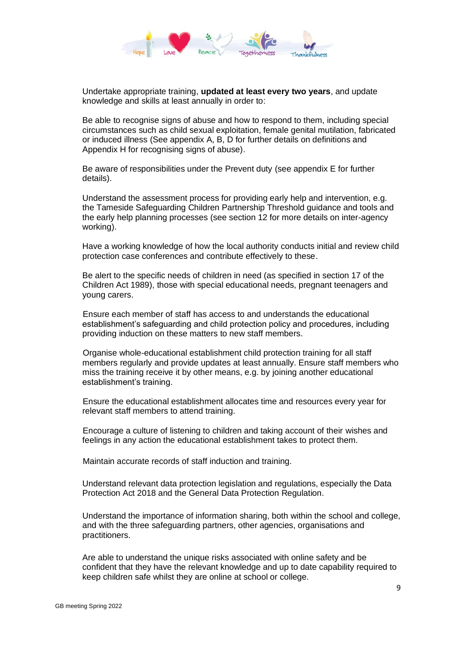

Undertake appropriate training, **updated at least every two years**, and update knowledge and skills at least annually in order to:

Be able to recognise signs of abuse and how to respond to them, including special circumstances such as child sexual exploitation, female genital mutilation, fabricated or induced illness (See appendix A, B, D for further details on definitions and Appendix H for recognising signs of abuse).

Be aware of responsibilities under the Prevent duty (see appendix E for further details).

Understand the assessment process for providing early help and intervention, e.g. the Tameside Safeguarding Children Partnership Threshold guidance and tools and the early help planning processes (see section 12 for more details on inter-agency working).

Have a working knowledge of how the local authority conducts initial and review child protection case conferences and contribute effectively to these.

Be alert to the specific needs of children in need (as specified in section 17 of the Children Act 1989), those with special educational needs, pregnant teenagers and young carers.

Ensure each member of staff has access to and understands the educational establishment's safeguarding and child protection policy and procedures, including providing induction on these matters to new staff members.

Organise whole-educational establishment child protection training for all staff members regularly and provide updates at least annually. Ensure staff members who miss the training receive it by other means, e.g. by joining another educational establishment's training.

Ensure the educational establishment allocates time and resources every year for relevant staff members to attend training.

Encourage a culture of listening to children and taking account of their wishes and feelings in any action the educational establishment takes to protect them.

Maintain accurate records of staff induction and training.

Understand relevant data protection legislation and regulations, especially the Data Protection Act 2018 and the General Data Protection Regulation.

Understand the importance of information sharing, both within the school and college, and with the three safeguarding partners, other agencies, organisations and practitioners.

Are able to understand the unique risks associated with online safety and be confident that they have the relevant knowledge and up to date capability required to keep children safe whilst they are online at school or college.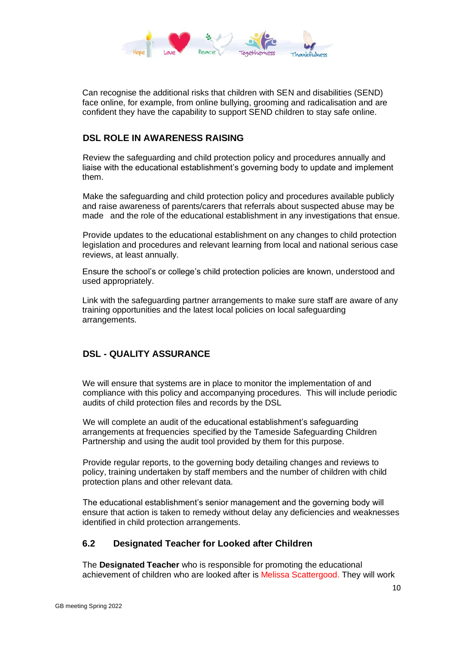

Can recognise the additional risks that children with SEN and disabilities (SEND) face online, for example, from online bullying, grooming and radicalisation and are confident they have the capability to support SEND children to stay safe online.

### **DSL ROLE IN AWARENESS RAISING**

Review the safeguarding and child protection policy and procedures annually and liaise with the educational establishment's governing body to update and implement them.

Make the safeguarding and child protection policy and procedures available publicly and raise awareness of parents/carers that referrals about suspected abuse may be made and the role of the educational establishment in any investigations that ensue.

Provide updates to the educational establishment on any changes to child protection legislation and procedures and relevant learning from local and national serious case reviews, at least annually.

Ensure the school's or college's child protection policies are known, understood and used appropriately.

Link with the safeguarding partner arrangements to make sure staff are aware of any training opportunities and the latest local policies on local safeguarding arrangements.

## **DSL - QUALITY ASSURANCE**

We will ensure that systems are in place to monitor the implementation of and compliance with this policy and accompanying procedures. This will include periodic audits of child protection files and records by the DSL

We will complete an audit of the educational establishment's safeguarding arrangements at frequencies specified by the Tameside Safeguarding Children Partnership and using the audit tool provided by them for this purpose.

Provide regular reports, to the governing body detailing changes and reviews to policy, training undertaken by staff members and the number of children with child protection plans and other relevant data.

The educational establishment's senior management and the governing body will ensure that action is taken to remedy without delay any deficiencies and weaknesses identified in child protection arrangements.

#### <span id="page-9-0"></span>**6.2 Designated Teacher for Looked after Children**

The **Designated Teacher** who is responsible for promoting the educational achievement of children who are looked after is Melissa Scattergood. They will work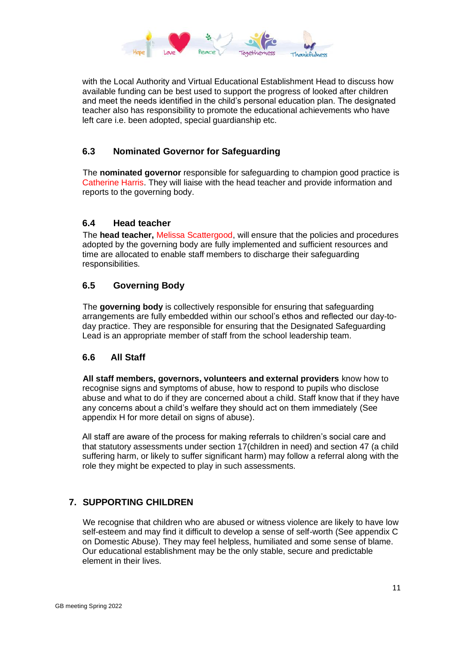

with the Local Authority and Virtual Educational Establishment Head to discuss how available funding can be best used to support the progress of looked after children and meet the needs identified in the child's personal education plan. The designated teacher also has responsibility to promote the educational achievements who have left care i.e. been adopted, special guardianship etc.

## <span id="page-10-0"></span>**6.3 Nominated Governor for Safeguarding**

The **nominated governor** responsible for safeguarding to champion good practice is Catherine Harris. They will liaise with the head teacher and provide information and reports to the governing body.

### <span id="page-10-1"></span>**6.4 Head teacher**

The **head teacher,** Melissa Scattergood, will ensure that the policies and procedures adopted by the governing body are fully implemented and sufficient resources and time are allocated to enable staff members to discharge their safeguarding responsibilities.

## <span id="page-10-2"></span>**6.5 Governing Body**

The **governing body** is collectively responsible for ensuring that safeguarding arrangements are fully embedded within our school's ethos and reflected our day-today practice. They are responsible for ensuring that the Designated Safeguarding Lead is an appropriate member of staff from the school leadership team.

## <span id="page-10-3"></span>**6.6 All Staff**

**All staff members, governors, volunteers and external providers** know how to recognise signs and symptoms of abuse, how to respond to pupils who disclose abuse and what to do if they are concerned about a child. Staff know that if they have any concerns about a child's welfare they should act on them immediately (See appendix H for more detail on signs of abuse).

All staff are aware of the process for making referrals to children's social care and that statutory assessments under section 17(children in need) and section 47 (a child suffering harm, or likely to suffer significant harm) may follow a referral along with the role they might be expected to play in such assessments.

## <span id="page-10-4"></span>**7. SUPPORTING CHILDREN**

We recognise that children who are abused or witness violence are likely to have low self-esteem and may find it difficult to develop a sense of self-worth (See appendix C on Domestic Abuse). They may feel helpless, humiliated and some sense of blame. Our educational establishment may be the only stable, secure and predictable element in their lives.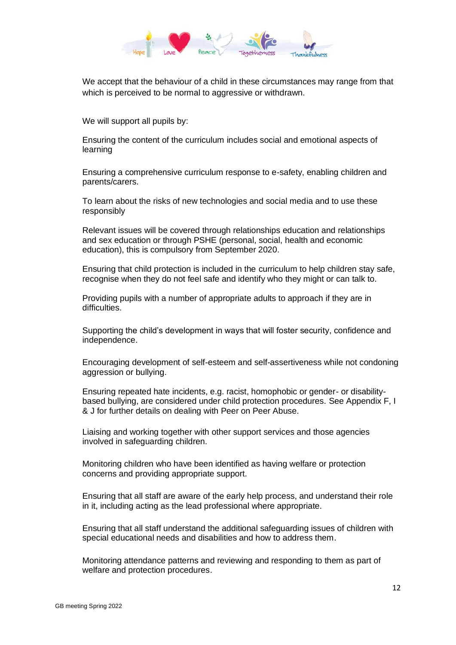

We accept that the behaviour of a child in these circumstances may range from that which is perceived to be normal to aggressive or withdrawn.

We will support all pupils by:

Ensuring the content of the curriculum includes social and emotional aspects of learning

Ensuring a comprehensive curriculum response to e-safety, enabling children and parents/carers.

To learn about the risks of new technologies and social media and to use these responsibly

Relevant issues will be covered through relationships education and relationships and sex education or through PSHE (personal, social, health and economic education), this is compulsory from September 2020.

Ensuring that child protection is included in the curriculum to help children stay safe, recognise when they do not feel safe and identify who they might or can talk to.

Providing pupils with a number of appropriate adults to approach if they are in difficulties.

Supporting the child's development in ways that will foster security, confidence and independence.

Encouraging development of self-esteem and self-assertiveness while not condoning aggression or bullying.

Ensuring repeated hate incidents, e.g. racist, homophobic or gender- or disabilitybased bullying, are considered under child protection procedures. See Appendix F, I & J for further details on dealing with Peer on Peer Abuse.

Liaising and working together with other support services and those agencies involved in safeguarding children.

Monitoring children who have been identified as having welfare or protection concerns and providing appropriate support.

Ensuring that all staff are aware of the early help process, and understand their role in it, including acting as the lead professional where appropriate.

Ensuring that all staff understand the additional safeguarding issues of children with special educational needs and disabilities and how to address them.

Monitoring attendance patterns and reviewing and responding to them as part of welfare and protection procedures.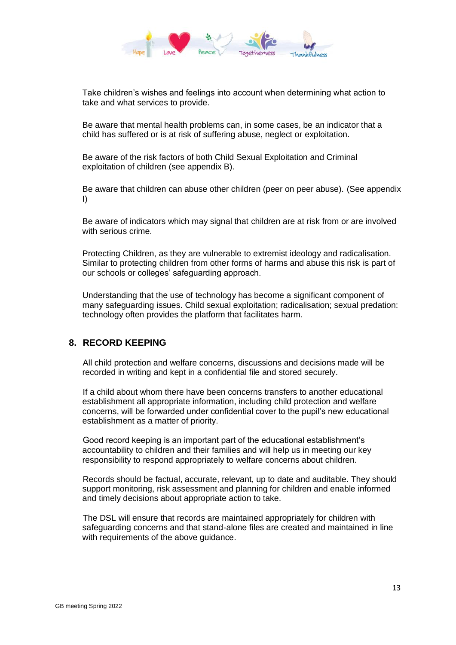

Take children's wishes and feelings into account when determining what action to take and what services to provide.

Be aware that mental health problems can, in some cases, be an indicator that a child has suffered or is at risk of suffering abuse, neglect or exploitation.

Be aware of the risk factors of both Child Sexual Exploitation and Criminal exploitation of children (see appendix B).

Be aware that children can abuse other children (peer on peer abuse). (See appendix I)

Be aware of indicators which may signal that children are at risk from or are involved with serious crime.

Protecting Children, as they are vulnerable to extremist ideology and radicalisation. Similar to protecting children from other forms of harms and abuse this risk is part of our schools or colleges' safeguarding approach.

Understanding that the use of technology has become a significant component of many safeguarding issues. Child sexual exploitation; radicalisation; sexual predation: technology often provides the platform that facilitates harm.

#### <span id="page-12-0"></span>**8. RECORD KEEPING**

All child protection and welfare concerns, discussions and decisions made will be recorded in writing and kept in a confidential file and stored securely.

If a child about whom there have been concerns transfers to another educational establishment all appropriate information, including child protection and welfare concerns, will be forwarded under confidential cover to the pupil's new educational establishment as a matter of priority.

Good record keeping is an important part of the educational establishment's accountability to children and their families and will help us in meeting our key responsibility to respond appropriately to welfare concerns about children.

Records should be factual, accurate, relevant, up to date and auditable. They should support monitoring, risk assessment and planning for children and enable informed and timely decisions about appropriate action to take.

The DSL will ensure that records are maintained appropriately for children with safeguarding concerns and that stand-alone files are created and maintained in line with requirements of the above guidance.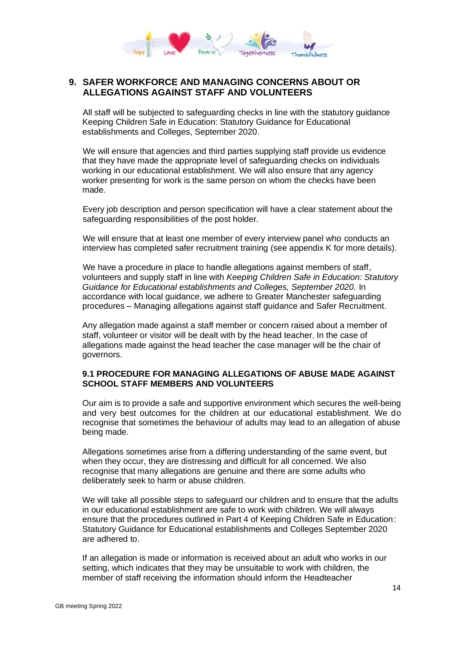

## <span id="page-13-0"></span>**9. SAFER WORKFORCE AND MANAGING CONCERNS ABOUT OR ALLEGATIONS AGAINST STAFF AND VOLUNTEERS**

All staff will be subjected to safeguarding checks in line with the statutory guidance Keeping Children Safe in Education: Statutory Guidance for Educational establishments and Colleges, September 2020.

We will ensure that agencies and third parties supplying staff provide us evidence that they have made the appropriate level of safeguarding checks on individuals working in our educational establishment. We will also ensure that any agency worker presenting for work is the same person on whom the checks have been made.

Every job description and person specification will have a clear statement about the safeguarding responsibilities of the post holder.

We will ensure that at least one member of every interview panel who conducts an interview has completed safer recruitment training (see appendix K for more details).

We have a procedure in place to handle allegations against members of staff, volunteers and supply staff in line with *Keeping Children Safe in Education: Statutory Guidance for Educational establishments and Colleges, September 2020.* In accordance with local guidance, we adhere to Greater Manchester safeguarding procedures – Managing allegations against staff guidance and Safer Recruitment.

Any allegation made against a staff member or concern raised about a member of staff, volunteer or visitor will be dealt with by the head teacher. In the case of allegations made against the head teacher the case manager will be the chair of governors.

#### **9.1 PROCEDURE FOR MANAGING ALLEGATIONS OF ABUSE MADE AGAINST SCHOOL STAFF MEMBERS AND VOLUNTEERS**

Our aim is to provide a safe and supportive environment which secures the well-being and very best outcomes for the children at our educational establishment. We do recognise that sometimes the behaviour of adults may lead to an allegation of abuse being made.

Allegations sometimes arise from a differing understanding of the same event, but when they occur, they are distressing and difficult for all concerned. We also recognise that many allegations are genuine and there are some adults who deliberately seek to harm or abuse children.

We will take all possible steps to safeguard our children and to ensure that the adults in our educational establishment are safe to work with children. We will always ensure that the procedures outlined in Part 4 of Keeping Children Safe in Education: Statutory Guidance for Educational establishments and Colleges September 2020 are adhered to.

If an allegation is made or information is received about an adult who works in our setting, which indicates that they may be unsuitable to work with children, the member of staff receiving the information should inform the Headteacher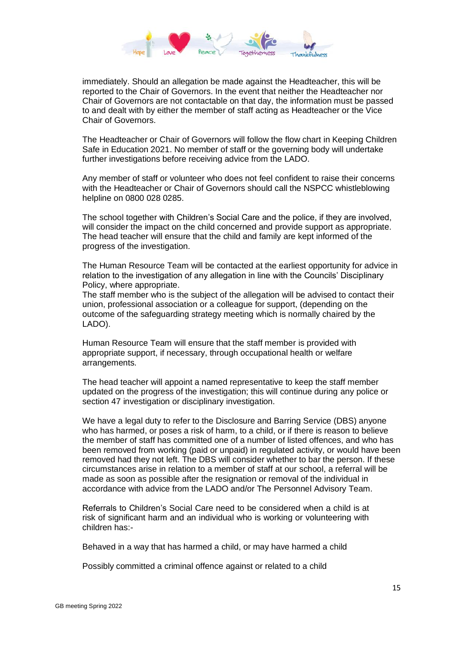

immediately. Should an allegation be made against the Headteacher, this will be reported to the Chair of Governors. In the event that neither the Headteacher nor Chair of Governors are not contactable on that day, the information must be passed to and dealt with by either the member of staff acting as Headteacher or the Vice Chair of Governors.

The Headteacher or Chair of Governors will follow the flow chart in Keeping Children Safe in Education 2021. No member of staff or the governing body will undertake further investigations before receiving advice from the LADO.

Any member of staff or volunteer who does not feel confident to raise their concerns with the Headteacher or Chair of Governors should call the NSPCC whistleblowing helpline on 0800 028 0285.

The school together with Children's Social Care and the police, if they are involved, will consider the impact on the child concerned and provide support as appropriate. The head teacher will ensure that the child and family are kept informed of the progress of the investigation.

The Human Resource Team will be contacted at the earliest opportunity for advice in relation to the investigation of any allegation in line with the Councils' Disciplinary Policy, where appropriate.

The staff member who is the subject of the allegation will be advised to contact their union, professional association or a colleague for support, (depending on the outcome of the safeguarding strategy meeting which is normally chaired by the LADO).

Human Resource Team will ensure that the staff member is provided with appropriate support, if necessary, through occupational health or welfare arrangements.

The head teacher will appoint a named representative to keep the staff member updated on the progress of the investigation; this will continue during any police or section 47 investigation or disciplinary investigation.

We have a legal duty to refer to the Disclosure and Barring Service (DBS) anyone who has harmed, or poses a risk of harm, to a child, or if there is reason to believe the member of staff has committed one of a number of listed offences, and who has been removed from working (paid or unpaid) in regulated activity, or would have been removed had they not left. The DBS will consider whether to bar the person. If these circumstances arise in relation to a member of staff at our school, a referral will be made as soon as possible after the resignation or removal of the individual in accordance with advice from the LADO and/or The Personnel Advisory Team.

Referrals to Children's Social Care need to be considered when a child is at risk of significant harm and an individual who is working or volunteering with children has:-

Behaved in a way that has harmed a child, or may have harmed a child

Possibly committed a criminal offence against or related to a child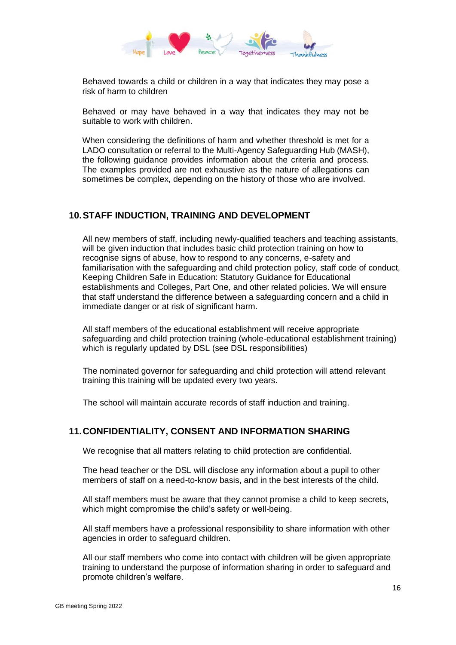

Behaved towards a child or children in a way that indicates they may pose a risk of harm to children

Behaved or may have behaved in a way that indicates they may not be suitable to work with children.

When considering the definitions of harm and whether threshold is met for a LADO consultation or referral to the Multi-Agency Safeguarding Hub (MASH), the following guidance provides information about the criteria and process. The examples provided are not exhaustive as the nature of allegations can sometimes be complex, depending on the history of those who are involved.

### <span id="page-15-0"></span>**10.STAFF INDUCTION, TRAINING AND DEVELOPMENT**

All new members of staff, including newly-qualified teachers and teaching assistants, will be given induction that includes basic child protection training on how to recognise signs of abuse, how to respond to any concerns, e-safety and familiarisation with the safeguarding and child protection policy, staff code of conduct, Keeping Children Safe in Education: Statutory Guidance for Educational establishments and Colleges, Part One, and other related policies. We will ensure that staff understand the difference between a safeguarding concern and a child in immediate danger or at risk of significant harm.

All staff members of the educational establishment will receive appropriate safeguarding and child protection training (whole-educational establishment training) which is regularly updated by DSL (see DSL responsibilities)

The nominated governor for safeguarding and child protection will attend relevant training this training will be updated every two years.

The school will maintain accurate records of staff induction and training.

#### <span id="page-15-1"></span>**11.CONFIDENTIALITY, CONSENT AND INFORMATION SHARING**

We recognise that all matters relating to child protection are confidential.

The head teacher or the DSL will disclose any information about a pupil to other members of staff on a need-to-know basis, and in the best interests of the child.

All staff members must be aware that they cannot promise a child to keep secrets, which might compromise the child's safety or well-being.

All staff members have a professional responsibility to share information with other agencies in order to safeguard children.

All our staff members who come into contact with children will be given appropriate training to understand the purpose of information sharing in order to safeguard and promote children's welfare.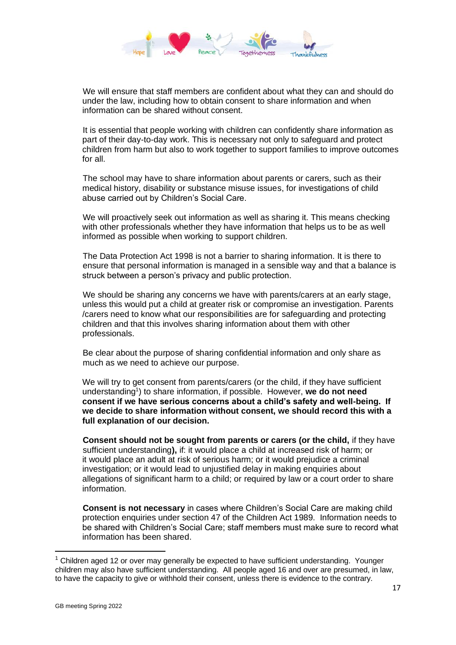

We will ensure that staff members are confident about what they can and should do under the law, including how to obtain consent to share information and when information can be shared without consent.

It is essential that people working with children can confidently share information as part of their day-to-day work. This is necessary not only to safeguard and protect children from harm but also to work together to support families to improve outcomes for all.

The school may have to share information about parents or carers, such as their medical history, disability or substance misuse issues, for investigations of child abuse carried out by Children's Social Care.

We will proactively seek out information as well as sharing it. This means checking with other professionals whether they have information that helps us to be as well informed as possible when working to support children.

The Data Protection Act 1998 is not a barrier to sharing information. It is there to ensure that personal information is managed in a sensible way and that a balance is struck between a person's privacy and public protection.

We should be sharing any concerns we have with parents/carers at an early stage, unless this would put a child at greater risk or compromise an investigation. Parents /carers need to know what our responsibilities are for safeguarding and protecting children and that this involves sharing information about them with other professionals.

Be clear about the purpose of sharing confidential information and only share as much as we need to achieve our purpose.

We will try to get consent from parents/carers (or the child, if they have sufficient understanding<sup>1</sup>) to share information, if possible. However, we do not need **consent if we have serious concerns about a child's safety and well-being. If we decide to share information without consent, we should record this with a full explanation of our decision.**

**Consent should not be sought from parents or carers (or the child,** if they have sufficient understanding**),** if: it would place a child at increased risk of harm; or it would place an adult at risk of serious harm; or it would prejudice a criminal investigation; or it would lead to unjustified delay in making enquiries about allegations of significant harm to a child; or required by law or a court order to share information.

**Consent is not necessary** in cases where Children's Social Care are making child protection enquiries under section 47 of the Children Act 1989. Information needs to be shared with Children's Social Care; staff members must make sure to record what information has been shared.

 $1$  Children aged 12 or over may generally be expected to have sufficient understanding. Younger children may also have sufficient understanding. All people aged 16 and over are presumed, in law, to have the capacity to give or withhold their consent, unless there is evidence to the contrary.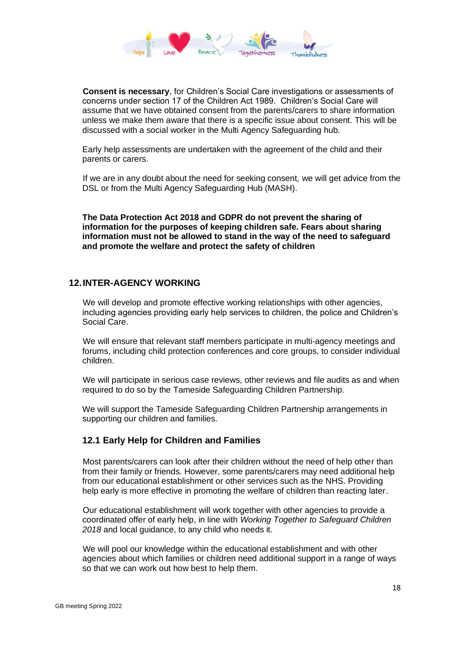

**Consent is necessary**, for Children's Social Care investigations or assessments of concerns under section 17 of the Children Act 1989. Children's Social Care will assume that we have obtained consent from the parents/carers to share information unless we make them aware that there is a specific issue about consent. This will be discussed with a social worker in the Multi Agency Safeguarding hub.

Early help assessments are undertaken with the agreement of the child and their parents or carers.

If we are in any doubt about the need for seeking consent, we will get advice from the DSL or from the Multi Agency Safeguarding Hub (MASH).

**The Data Protection Act 2018 and GDPR do not prevent the sharing of information for the purposes of keeping children safe. Fears about sharing information must not be allowed to stand in the way of the need to safeguard and promote the welfare and protect the safety of children**

### <span id="page-17-0"></span>**12.INTER-AGENCY WORKING**

We will develop and promote effective working relationships with other agencies, including agencies providing early help services to children, the police and Children's Social Care.

We will ensure that relevant staff members participate in multi-agency meetings and forums, including child protection conferences and core groups, to consider individual children.

We will participate in serious case reviews, other reviews and file audits as and when required to do so by the Tameside Safeguarding Children Partnership.

We will support the Tameside Safeguarding Children Partnership arrangements in supporting our children and families.

#### <span id="page-17-1"></span>**12.1 Early Help for Children and Families**

Most parents/carers can look after their children without the need of help other than from their family or friends. However, some parents/carers may need additional help from our educational establishment or other services such as the NHS. Providing help early is more effective in promoting the welfare of children than reacting later.

Our educational establishment will work together with other agencies to provide a coordinated offer of early help, in line with *Working Together to Safeguard Children 2018* and local guidance, to any child who needs it.

We will pool our knowledge within the educational establishment and with other agencies about which families or children need additional support in a range of ways so that we can work out how best to help them.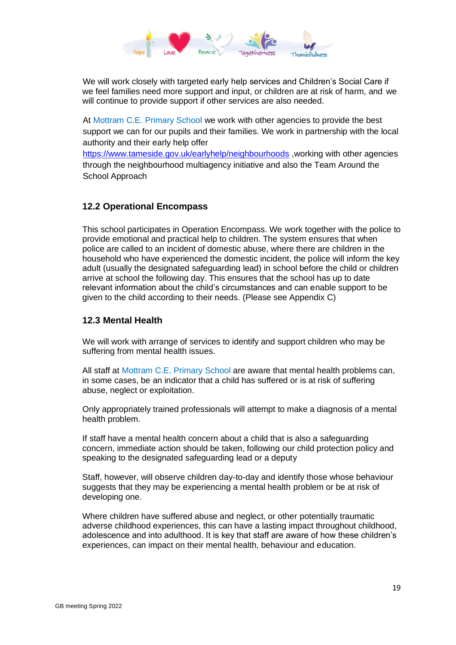

We will work closely with targeted early help services and Children's Social Care if we feel families need more support and input, or children are at risk of harm, and we will continue to provide support if other services are also needed.

At Mottram C.E. Primary School we work with other agencies to provide the best support we can for our pupils and their families. We work in partnership with the local authority and their early help offer

<https://www.tameside.gov.uk/earlyhelp/neighbourhoods> ,working with other agencies through the neighbourhood multiagency initiative and also the Team Around the School Approach

## <span id="page-18-0"></span>**12.2 Operational Encompass**

This school participates in Operation Encompass. We work together with the police to provide emotional and practical help to children. The system ensures that when police are called to an incident of domestic abuse, where there are children in the household who have experienced the domestic incident, the police will inform the key adult (usually the designated safeguarding lead) in school before the child or children arrive at school the following day. This ensures that the school has up to date relevant information about the child's circumstances and can enable support to be given to the child according to their needs. (Please see Appendix C)

### <span id="page-18-1"></span>**12.3 Mental Health**

We will work with arrange of services to identify and support children who may be suffering from mental health issues.

All staff at Mottram C.E. Primary School are aware that mental health problems can, in some cases, be an indicator that a child has suffered or is at risk of suffering abuse, neglect or exploitation.

Only appropriately trained professionals will attempt to make a diagnosis of a mental health problem.

If staff have a mental health concern about a child that is also a safeguarding concern, immediate action should be taken, following our child protection policy and speaking to the designated safeguarding lead or a deputy

Staff, however, will observe children day-to-day and identify those whose behaviour suggests that they may be experiencing a mental health problem or be at risk of developing one.

Where children have suffered abuse and neglect, or other potentially traumatic adverse childhood experiences, this can have a lasting impact throughout childhood, adolescence and into adulthood. It is key that staff are aware of how these children's experiences, can impact on their mental health, behaviour and education.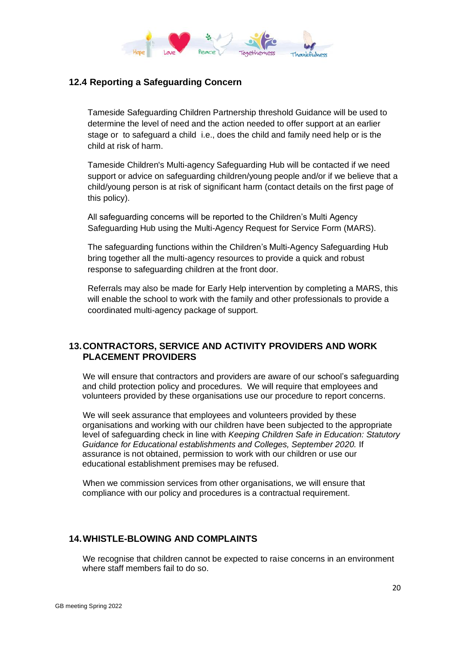

## <span id="page-19-0"></span>**12.4 Reporting a Safeguarding Concern**

Tameside Safeguarding Children Partnership threshold Guidance will be used to determine the level of need and the action needed to offer support at an earlier stage or to safeguard a child i.e., does the child and family need help or is the child at risk of harm.

Tameside Children's Multi-agency Safeguarding Hub will be contacted if we need support or advice on safeguarding children/young people and/or if we believe that a child/young person is at risk of significant harm (contact details on the first page of this policy).

All safeguarding concerns will be reported to the Children's Multi Agency Safeguarding Hub using the Multi-Agency Request for Service Form (MARS).

The safeguarding functions within the Children's Multi-Agency Safeguarding Hub bring together all the multi-agency resources to provide a quick and robust response to safeguarding children at the front door.

Referrals may also be made for Early Help intervention by completing a MARS, this will enable the school to work with the family and other professionals to provide a coordinated multi-agency package of support.

## <span id="page-19-1"></span>**13.CONTRACTORS, SERVICE AND ACTIVITY PROVIDERS AND WORK PLACEMENT PROVIDERS**

We will ensure that contractors and providers are aware of our school's safeguarding and child protection policy and procedures. We will require that employees and volunteers provided by these organisations use our procedure to report concerns.

We will seek assurance that employees and volunteers provided by these organisations and working with our children have been subjected to the appropriate level of safeguarding check in line with *Keeping Children Safe in Education: Statutory Guidance for Educational establishments and Colleges, September 2020.* If assurance is not obtained, permission to work with our children or use our educational establishment premises may be refused.

When we commission services from other organisations, we will ensure that compliance with our policy and procedures is a contractual requirement.

#### <span id="page-19-2"></span>**14.WHISTLE-BLOWING AND COMPLAINTS**

We recognise that children cannot be expected to raise concerns in an environment where staff members fail to do so.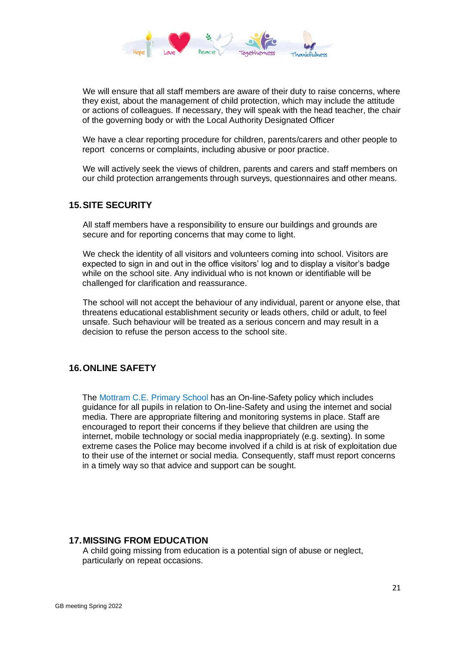

We will ensure that all staff members are aware of their duty to raise concerns, where they exist, about the management of child protection, which may include the attitude or actions of colleagues. If necessary, they will speak with the head teacher, the chair of the governing body or with the Local Authority Designated Officer

We have a clear reporting procedure for children, parents/carers and other people to report concerns or complaints, including abusive or poor practice.

We will actively seek the views of children, parents and carers and staff members on our child protection arrangements through surveys, questionnaires and other means.

#### <span id="page-20-0"></span>**15.SITE SECURITY**

All staff members have a responsibility to ensure our buildings and grounds are secure and for reporting concerns that may come to light.

We check the identity of all visitors and volunteers coming into school. Visitors are expected to sign in and out in the office visitors' log and to display a visitor's badge while on the school site. Any individual who is not known or identifiable will be challenged for clarification and reassurance.

The school will not accept the behaviour of any individual, parent or anyone else, that threatens educational establishment security or leads others, child or adult, to feel unsafe. Such behaviour will be treated as a serious concern and may result in a decision to refuse the person access to the school site.

#### <span id="page-20-1"></span>**16.ONLINE SAFETY**

The Mottram C.E. Primary School has an On-line-Safety policy which includes guidance for all pupils in relation to On-line-Safety and using the internet and social media. There are appropriate filtering and monitoring systems in place. Staff are encouraged to report their concerns if they believe that children are using the internet, mobile technology or social media inappropriately (e.g. sexting). In some extreme cases the Police may become involved if a child is at risk of exploitation due to their use of the internet or social media. Consequently, staff must report concerns in a timely way so that advice and support can be sought.

#### <span id="page-20-2"></span>**17.MISSING FROM EDUCATION**

A child going missing from education is a potential sign of abuse or neglect, particularly on repeat occasions.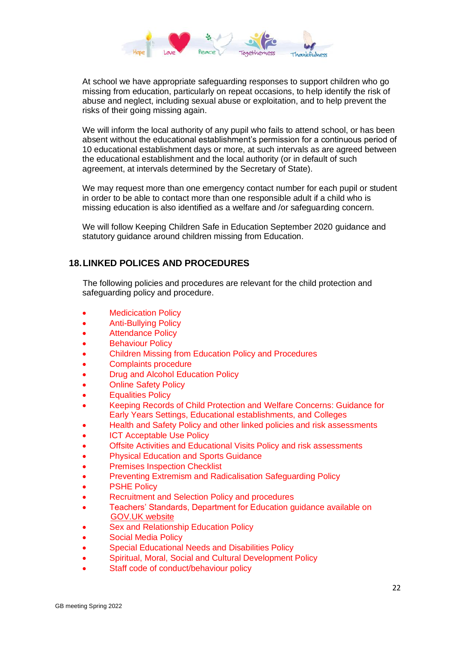

At school we have appropriate safeguarding responses to support children who go missing from education, particularly on repeat occasions, to help identify the risk of abuse and neglect, including sexual abuse or exploitation, and to help prevent the risks of their going missing again.

We will inform the local authority of any pupil who fails to attend school, or has been absent without the educational establishment's permission for a continuous period of 10 educational establishment days or more, at such intervals as are agreed between the educational establishment and the local authority (or in default of such agreement, at intervals determined by the Secretary of State).

We may request more than one emergency contact number for each pupil or student in order to be able to contact more than one responsible adult if a child who is missing education is also identified as a welfare and /or safeguarding concern.

We will follow Keeping Children Safe in Education September 2020 guidance and statutory guidance around children missing from Education.

## <span id="page-21-0"></span>**18.LINKED POLICES AND PROCEDURES**

The following policies and procedures are relevant for the child protection and safeguarding policy and procedure.

- **Medicication Policy**
- Anti-Bullying Policy
- Attendance Policy
- **Behaviour Policy**
- Children Missing from Education Policy and Procedures
- Complaints procedure
- Drug and Alcohol Education Policy
- **Online Safety Policy**
- **Equalities Policy**
- Keeping Records of Child Protection and Welfare Concerns: Guidance for Early Years Settings, Educational establishments, and Colleges
- Health and Safety Policy and other linked policies and risk assessments
- **ICT Acceptable Use Policy**
- Offsite Activities and Educational Visits Policy and risk assessments
- Physical Education and Sports Guidance
- **Premises Inspection Checklist**
- Preventing Extremism and Radicalisation Safeguarding Policy
- **PSHE Policy**
- Recruitment and Selection Policy and procedures
- Teachers' Standards, Department for Education guidance available on [GOV.UK website](https://www.gov.uk/government/publications/teachers-standards)
- Sex and Relationship Education Policy
- Social Media Policy
- Special Educational Needs and Disabilities Policy
- Spiritual, Moral, Social and Cultural Development Policy
- Staff code of conduct/behaviour policy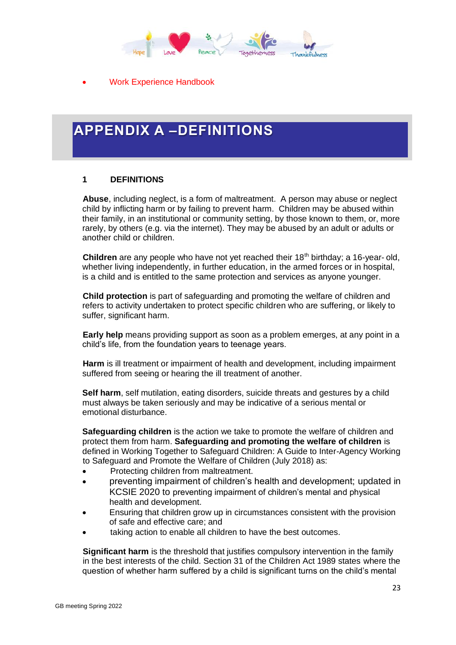

• Work Experience Handbook

## • **APPENDIX A –DEFINITIONS**

#### **1 DEFINITIONS**

**Abuse**, including neglect, is a form of maltreatment. A person may abuse or neglect child by inflicting harm or by failing to prevent harm. Children may be abused within their family, in an institutional or community setting, by those known to them, or, more rarely, by others (e.g. via the internet). They may be abused by an adult or adults or another child or children.

**Children** are any people who have not yet reached their 18<sup>th</sup> birthday; a 16-year- old, whether living independently, in further education, in the armed forces or in hospital, is a child and is entitled to the same protection and services as anyone younger.

**Child protection** is part of safeguarding and promoting the welfare of children and refers to activity undertaken to protect specific children who are suffering, or likely to suffer, significant harm.

**Early help** means providing support as soon as a problem emerges, at any point in a child's life, from the foundation years to teenage years.

**Harm** is ill treatment or impairment of health and development, including impairment suffered from seeing or hearing the ill treatment of another.

**Self harm**, self mutilation, eating disorders, suicide threats and gestures by a child must always be taken seriously and may be indicative of a serious mental or emotional disturbance.

**Safeguarding children** is the action we take to promote the welfare of children and protect them from harm. **Safeguarding and promoting the welfare of children** is defined in Working Together to Safeguard Children: A Guide to Inter-Agency Working to Safeguard and Promote the Welfare of Children (July 2018) as:

- Protecting children from maltreatment.
- preventing impairment of children's health and development; updated in KCSIE 2020 to preventing impairment of children's mental and physical health and development.
- Ensuring that children grow up in circumstances consistent with the provision of safe and effective care; and
- taking action to enable all children to have the best outcomes.

**Significant harm** is the threshold that justifies compulsory intervention in the family in the best interests of the child. Section 31 of the Children Act 1989 states where the question of whether harm suffered by a child is significant turns on the child's mental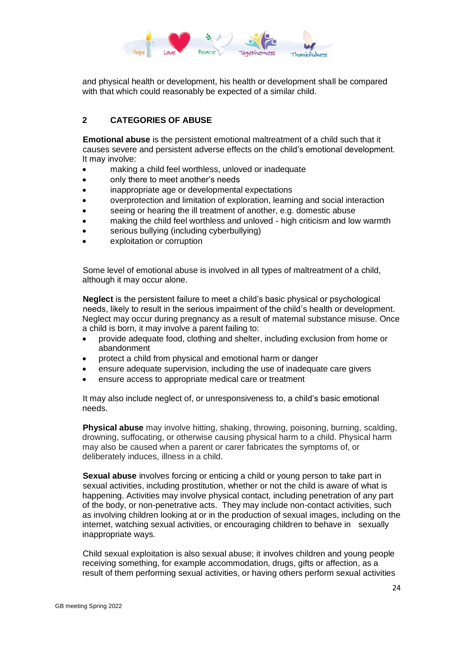

and physical health or development, his health or development shall be compared with that which could reasonably be expected of a similar child.

## **2 CATEGORIES OF ABUSE**

**Emotional abuse** is the persistent emotional maltreatment of a child such that it causes severe and persistent adverse effects on the child's emotional development. It may involve:

- making a child feel worthless, unloved or inadequate
- only there to meet another's needs
- inappropriate age or developmental expectations
- overprotection and limitation of exploration, learning and social interaction
- seeing or hearing the ill treatment of another, e.g. domestic abuse
- making the child feel worthless and unloved high criticism and low warmth
- serious bullying (including cyberbullying)
- exploitation or corruption

Some level of emotional abuse is involved in all types of maltreatment of a child, although it may occur alone.

**Neglect** is the persistent failure to meet a child's basic physical or psychological needs, likely to result in the serious impairment of the child's health or development. Neglect may occur during pregnancy as a result of maternal substance misuse. Once a child is born, it may involve a parent failing to:

- provide adequate food, clothing and shelter, including exclusion from home or abandonment
- protect a child from physical and emotional harm or danger
- ensure adequate supervision, including the use of inadequate care givers
- ensure access to appropriate medical care or treatment

It may also include neglect of, or unresponsiveness to, a child's basic emotional needs.

**Physical abuse** may involve hitting, shaking, throwing, poisoning, burning, scalding, drowning, suffocating, or otherwise causing physical harm to a child. Physical harm may also be caused when a parent or carer fabricates the symptoms of, or deliberately induces, illness in a child.

**Sexual abuse** involves forcing or enticing a child or young person to take part in sexual activities, including prostitution, whether or not the child is aware of what is happening. Activities may involve physical contact, including penetration of any part of the body, or non-penetrative acts. They may include non-contact activities, such as involving children looking at or in the production of sexual images, including on the internet, watching sexual activities, or encouraging children to behave in sexually inappropriate ways.

Child sexual exploitation is also sexual abuse; it involves children and young people receiving something, for example accommodation, drugs, gifts or affection, as a result of them performing sexual activities, or having others perform sexual activities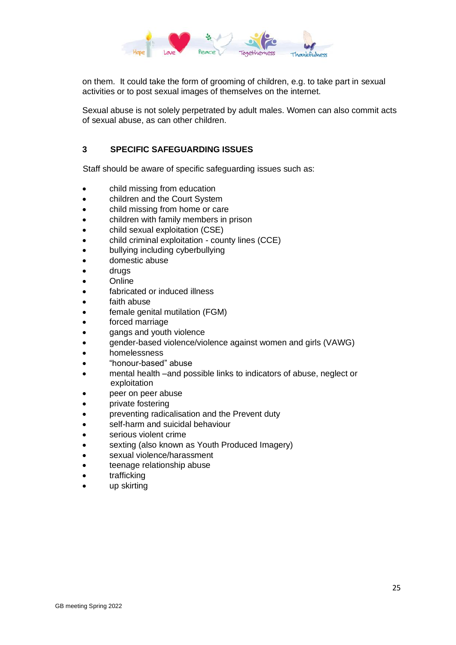

on them. It could take the form of grooming of children, e.g. to take part in sexual activities or to post sexual images of themselves on the internet.

Sexual abuse is not solely perpetrated by adult males. Women can also commit acts of sexual abuse, as can other children.

## **3 SPECIFIC SAFEGUARDING ISSUES**

Staff should be aware of specific safeguarding issues such as:

- child missing from education
- children and the Court System
- child missing from home or care
- children with family members in prison
- child sexual exploitation (CSE)
- child criminal exploitation county lines (CCE)
- bullying including cyberbullying
- domestic abuse
- drugs
- **Online**
- fabricated or induced illness
- faith abuse
- female genital mutilation (FGM)
- forced marriage
- gangs and youth violence
- gender-based violence/violence against women and girls (VAWG)
- homelessness
- "honour-based" abuse
- mental health –and possible links to indicators of abuse, neglect or exploitation
- peer on peer abuse
- private fostering
- preventing radicalisation and the Prevent duty
- self-harm and suicidal behaviour
- serious violent crime
- sexting (also known as Youth Produced Imagery)
- sexual violence/harassment
- teenage relationship abuse
- trafficking
- up skirting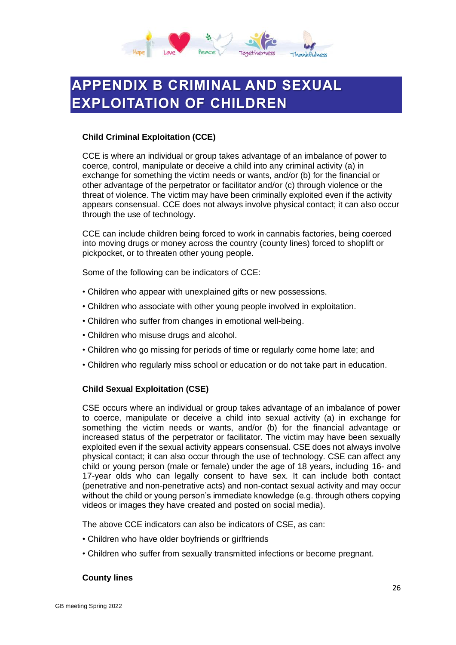

# <span id="page-25-0"></span>**APPENDIX B CRIMINAL AND SEXUAL EXPLOITATION OF CHILDREN**

#### **Child Criminal Exploitation (CCE)**

CCE is where an individual or group takes advantage of an imbalance of power to coerce, control, manipulate or deceive a child into any criminal activity (a) in exchange for something the victim needs or wants, and/or (b) for the financial or other advantage of the perpetrator or facilitator and/or (c) through violence or the threat of violence. The victim may have been criminally exploited even if the activity appears consensual. CCE does not always involve physical contact; it can also occur through the use of technology.

CCE can include children being forced to work in cannabis factories, being coerced into moving drugs or money across the country (county lines) forced to shoplift or pickpocket, or to threaten other young people.

Some of the following can be indicators of CCE:

- Children who appear with unexplained gifts or new possessions.
- Children who associate with other young people involved in exploitation.
- Children who suffer from changes in emotional well-being.
- Children who misuse drugs and alcohol.
- Children who go missing for periods of time or regularly come home late; and
- Children who regularly miss school or education or do not take part in education.

#### **Child Sexual Exploitation (CSE)**

CSE occurs where an individual or group takes advantage of an imbalance of power to coerce, manipulate or deceive a child into sexual activity (a) in exchange for something the victim needs or wants, and/or (b) for the financial advantage or increased status of the perpetrator or facilitator. The victim may have been sexually exploited even if the sexual activity appears consensual. CSE does not always involve physical contact; it can also occur through the use of technology. CSE can affect any child or young person (male or female) under the age of 18 years, including 16- and 17-year olds who can legally consent to have sex. It can include both contact (penetrative and non-penetrative acts) and non-contact sexual activity and may occur without the child or young person's immediate knowledge (e.g. through others copying videos or images they have created and posted on social media).

The above CCE indicators can also be indicators of CSE, as can:

- Children who have older boyfriends or girlfriends
- Children who suffer from sexually transmitted infections or become pregnant.

#### **County lines**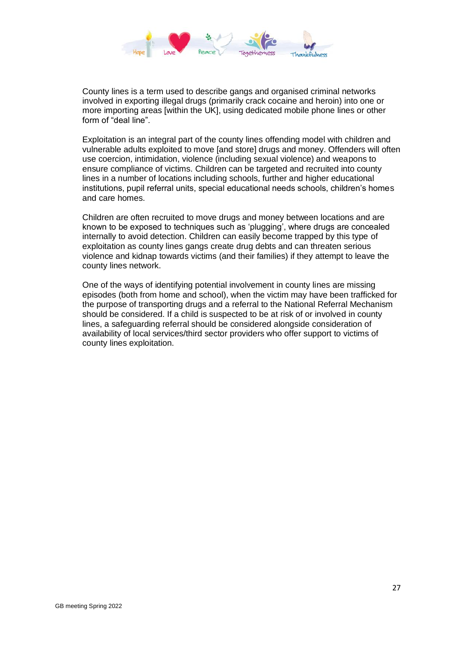

County lines is a term used to describe gangs and organised criminal networks involved in exporting illegal drugs (primarily crack cocaine and heroin) into one or more importing areas [within the UK], using dedicated mobile phone lines or other form of "deal line".

Exploitation is an integral part of the county lines offending model with children and vulnerable adults exploited to move [and store] drugs and money. Offenders will often use coercion, intimidation, violence (including sexual violence) and weapons to ensure compliance of victims. Children can be targeted and recruited into county lines in a number of locations including schools, further and higher educational institutions, pupil referral units, special educational needs schools, children's homes and care homes.

Children are often recruited to move drugs and money between locations and are known to be exposed to techniques such as 'plugging', where drugs are concealed internally to avoid detection. Children can easily become trapped by this type of exploitation as county lines gangs create drug debts and can threaten serious violence and kidnap towards victims (and their families) if they attempt to leave the county lines network.

One of the ways of identifying potential involvement in county lines are missing episodes (both from home and school), when the victim may have been trafficked for the purpose of transporting drugs and a referral to the National Referral Mechanism should be considered. If a child is suspected to be at risk of or involved in county lines, a safeguarding referral should be considered alongside consideration of availability of local services/third sector providers who offer support to victims of county lines exploitation.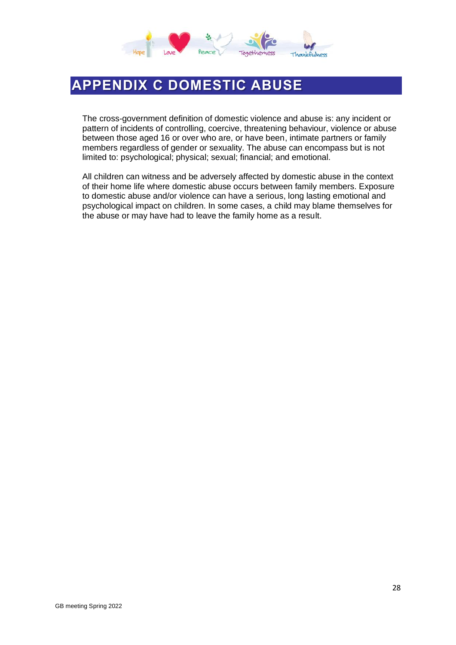

## <span id="page-27-0"></span>**APPENDIX C DOMESTIC ABUSE**

The cross-government definition of domestic violence and abuse is: any incident or pattern of incidents of controlling, coercive, threatening behaviour, violence or abuse between those aged 16 or over who are, or have been, intimate partners or family members regardless of gender or sexuality. The abuse can encompass but is not limited to: psychological; physical; sexual; financial; and emotional.

All children can witness and be adversely affected by domestic abuse in the context of their home life where domestic abuse occurs between family members. Exposure to domestic abuse and/or violence can have a serious, long lasting emotional and psychological impact on children. In some cases, a child may blame themselves for the abuse or may have had to leave the family home as a result.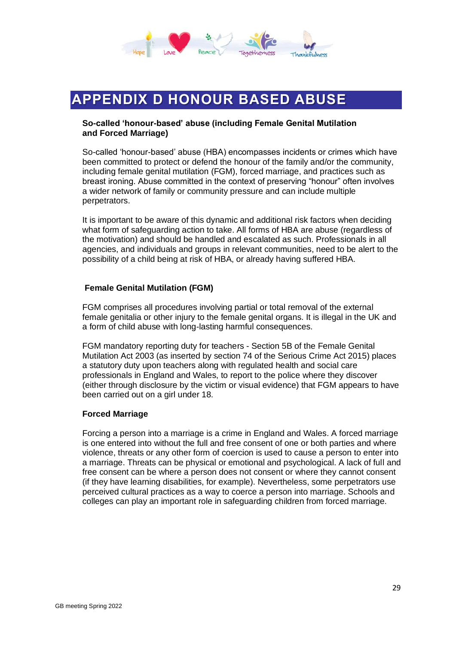

## <span id="page-28-0"></span>**APPENDIX D HONOUR BASED ABUSE**

#### **So-called 'honour-based' abuse (including Female Genital Mutilation and Forced Marriage)**

So-called 'honour-based' abuse (HBA) encompasses incidents or crimes which have been committed to protect or defend the honour of the family and/or the community, including female genital mutilation (FGM), forced marriage, and practices such as breast ironing. Abuse committed in the context of preserving "honour" often involves a wider network of family or community pressure and can include multiple perpetrators.

It is important to be aware of this dynamic and additional risk factors when deciding what form of safeguarding action to take. All forms of HBA are abuse (regardless of the motivation) and should be handled and escalated as such. Professionals in all agencies, and individuals and groups in relevant communities, need to be alert to the possibility of a child being at risk of HBA, or already having suffered HBA.

#### **Female Genital Mutilation (FGM)**

FGM comprises all procedures involving partial or total removal of the external female genitalia or other injury to the female genital organs. It is illegal in the UK and a form of child abuse with long-lasting harmful consequences.

FGM mandatory reporting duty for teachers - Section 5B of the Female Genital Mutilation Act 2003 (as inserted by section 74 of the Serious Crime Act 2015) places a statutory duty upon teachers along with regulated health and social care professionals in England and Wales, to report to the police where they discover (either through disclosure by the victim or visual evidence) that FGM appears to have been carried out on a girl under 18.

#### **Forced Marriage**

Forcing a person into a marriage is a crime in England and Wales. A forced marriage is one entered into without the full and free consent of one or both parties and where violence, threats or any other form of coercion is used to cause a person to enter into a marriage. Threats can be physical or emotional and psychological. A lack of full and free consent can be where a person does not consent or where they cannot consent (if they have learning disabilities, for example). Nevertheless, some perpetrators use perceived cultural practices as a way to coerce a person into marriage. Schools and colleges can play an important role in safeguarding children from forced marriage.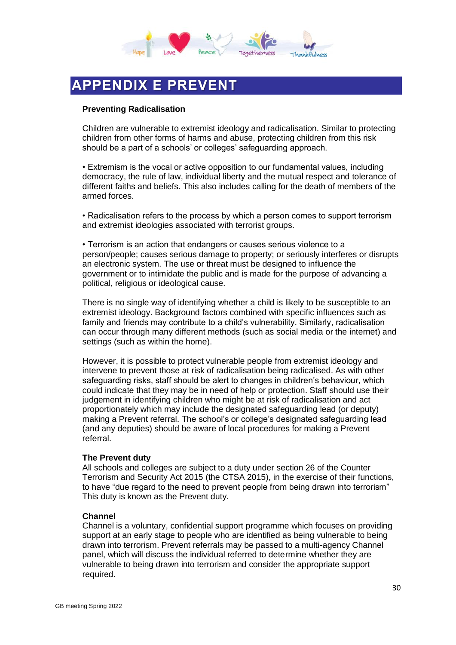

# <span id="page-29-0"></span>**APPENDIX E PREVENT**

#### **Preventing Radicalisation**

Children are vulnerable to extremist ideology and radicalisation. Similar to protecting children from other forms of harms and abuse, protecting children from this risk should be a part of a schools' or colleges' safeguarding approach.

• Extremism is the vocal or active opposition to our fundamental values, including democracy, the rule of law, individual liberty and the mutual respect and tolerance of different faiths and beliefs. This also includes calling for the death of members of the armed forces.

• Radicalisation refers to the process by which a person comes to support terrorism and extremist ideologies associated with terrorist groups.

• Terrorism is an action that endangers or causes serious violence to a person/people; causes serious damage to property; or seriously interferes or disrupts an electronic system. The use or threat must be designed to influence the government or to intimidate the public and is made for the purpose of advancing a political, religious or ideological cause.

There is no single way of identifying whether a child is likely to be susceptible to an extremist ideology. Background factors combined with specific influences such as family and friends may contribute to a child's vulnerability. Similarly, radicalisation can occur through many different methods (such as social media or the internet) and settings (such as within the home).

However, it is possible to protect vulnerable people from extremist ideology and intervene to prevent those at risk of radicalisation being radicalised. As with other safeguarding risks, staff should be alert to changes in children's behaviour, which could indicate that they may be in need of help or protection. Staff should use their judgement in identifying children who might be at risk of radicalisation and act proportionately which may include the designated safeguarding lead (or deputy) making a Prevent referral. The school's or college's designated safeguarding lead (and any deputies) should be aware of local procedures for making a Prevent referral.

#### **The Prevent duty**

All schools and colleges are subject to a duty under section 26 of the Counter Terrorism and Security Act 2015 (the CTSA 2015), in the exercise of their functions, to have "due regard to the need to prevent people from being drawn into terrorism" This duty is known as the Prevent duty.

#### **Channel**

Channel is a voluntary, confidential support programme which focuses on providing support at an early stage to people who are identified as being vulnerable to being drawn into terrorism. Prevent referrals may be passed to a multi-agency Channel panel, which will discuss the individual referred to determine whether they are vulnerable to being drawn into terrorism and consider the appropriate support required.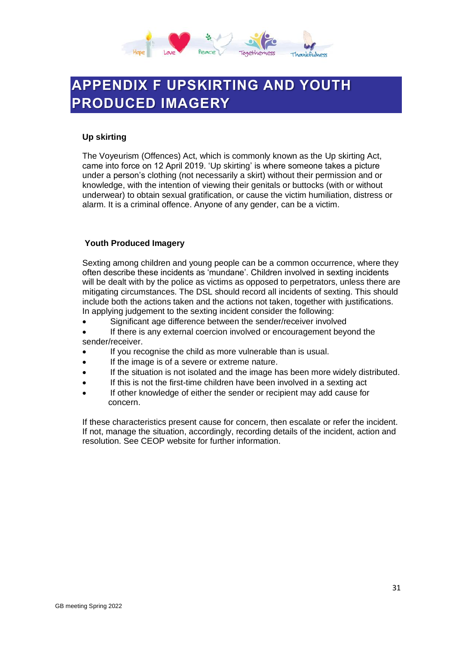

## <span id="page-30-0"></span>**APPENDIX F UPSKIRTING AND YOUTH PRODUCED IMAGERY**

#### **Up skirting**

The Voyeurism (Offences) Act, which is commonly known as the Up skirting Act, came into force on 12 April 2019. 'Up skirting' is where someone takes a picture under a person's clothing (not necessarily a skirt) without their permission and or knowledge, with the intention of viewing their genitals or buttocks (with or without underwear) to obtain sexual gratification, or cause the victim humiliation, distress or alarm. It is a criminal offence. Anyone of any gender, can be a victim.

#### **Youth Produced Imagery**

Sexting among children and young people can be a common occurrence, where they often describe these incidents as 'mundane'. Children involved in sexting incidents will be dealt with by the police as victims as opposed to perpetrators, unless there are mitigating circumstances. The DSL should record all incidents of sexting. This should include both the actions taken and the actions not taken, together with justifications. In applying judgement to the sexting incident consider the following:

- Significant age difference between the sender/receiver involved
- If there is any external coercion involved or encouragement beyond the sender/receiver.
- If you recognise the child as more vulnerable than is usual.
- If the image is of a severe or extreme nature.
- If the situation is not isolated and the image has been more widely distributed.
- If this is not the first-time children have been involved in a sexting act
- If other knowledge of either the sender or recipient may add cause for concern.

If these characteristics present cause for concern, then escalate or refer the incident. If not, manage the situation, accordingly, recording details of the incident, action and resolution. See CEOP website for further information.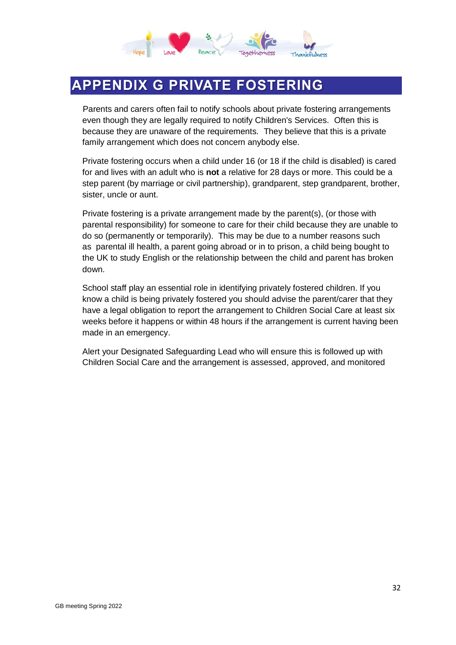

## <span id="page-31-0"></span>**APPENDIX G PRIVATE FOSTERING**

Parents and carers often fail to notify schools about private fostering arrangements even though they are legally required to notify Children's Services. Often this is because they are unaware of the requirements. They believe that this is a private family arrangement which does not concern anybody else.

Private fostering occurs when a child under 16 (or 18 if the child is disabled) is cared for and lives with an adult who is **not** a relative for 28 days or more. This could be a step parent (by marriage or civil partnership), grandparent, step grandparent, brother, sister, uncle or aunt.

Private fostering is a private arrangement made by the parent(s), (or those with parental responsibility) for someone to care for their child because they are unable to do so (permanently or temporarily). This may be due to a number reasons such as parental ill health, a parent going abroad or in to prison, a child being bought to the UK to study English or the relationship between the child and parent has broken down.

School staff play an essential role in identifying privately fostered children. If you know a child is being privately fostered you should advise the parent/carer that they have a legal obligation to report the arrangement to Children Social Care at least six weeks before it happens or within 48 hours if the arrangement is current having been made in an emergency.

Alert your Designated Safeguarding Lead who will ensure this is followed up with Children Social Care and the arrangement is assessed, approved, and monitored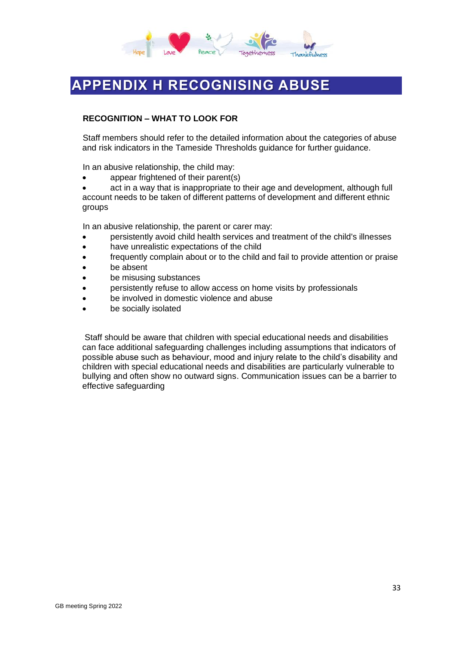

# <span id="page-32-0"></span>**APPENDIX H RECOGNISING ABUSE**

#### **RECOGNITION – WHAT TO LOOK FOR**

Staff members should refer to the detailed information about the categories of abuse and risk indicators in the Tameside Thresholds guidance for further guidance.

In an abusive relationship, the child may:

• appear frightened of their parent(s)

act in a way that is inappropriate to their age and development, although full account needs to be taken of different patterns of development and different ethnic groups

In an abusive relationship, the parent or carer may:

- persistently avoid child health services and treatment of the child's illnesses
- have unrealistic expectations of the child
- frequently complain about or to the child and fail to provide attention or praise
- be absent
- be misusing substances
- persistently refuse to allow access on home visits by professionals
- be involved in domestic violence and abuse
- be socially isolated

Staff should be aware that children with special educational needs and disabilities can face additional safeguarding challenges including assumptions that indicators of possible abuse such as behaviour, mood and injury relate to the child's disability and children with special educational needs and disabilities are particularly vulnerable to bullying and often show no outward signs. Communication issues can be a barrier to effective safeguarding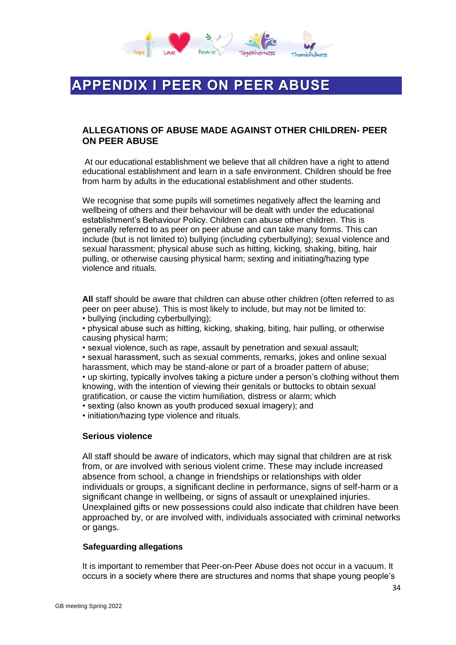

## <span id="page-33-0"></span>**APPENDIX I PEER ON PEER ABUSE**

### **ALLEGATIONS OF ABUSE MADE AGAINST OTHER CHILDREN- PEER ON PEER ABUSE**

At our educational establishment we believe that all children have a right to attend educational establishment and learn in a safe environment. Children should be free from harm by adults in the educational establishment and other students.

We recognise that some pupils will sometimes negatively affect the learning and wellbeing of others and their behaviour will be dealt with under the educational establishment's Behaviour Policy. Children can abuse other children. This is generally referred to as peer on peer abuse and can take many forms. This can include (but is not limited to) bullying (including cyberbullying); sexual violence and sexual harassment; physical abuse such as hitting, kicking, shaking, biting, hair pulling, or otherwise causing physical harm; sexting and initiating/hazing type violence and rituals.

**All** staff should be aware that children can abuse other children (often referred to as peer on peer abuse). This is most likely to include, but may not be limited to: • bullying (including cyberbullying);

• physical abuse such as hitting, kicking, shaking, biting, hair pulling, or otherwise causing physical harm;

• sexual violence, such as rape, assault by penetration and sexual assault;

• sexual harassment, such as sexual comments, remarks, jokes and online sexual harassment, which may be stand-alone or part of a broader pattern of abuse;

• up skirting, typically involves taking a picture under a person's clothing without them knowing, with the intention of viewing their genitals or buttocks to obtain sexual gratification, or cause the victim humiliation, distress or alarm; which

• sexting (also known as youth produced sexual imagery); and

• initiation/hazing type violence and rituals.

#### **Serious violence**

All staff should be aware of indicators, which may signal that children are at risk from, or are involved with serious violent crime. These may include increased absence from school, a change in friendships or relationships with older individuals or groups, a significant decline in performance, signs of self-harm or a significant change in wellbeing, or signs of assault or unexplained injuries. Unexplained gifts or new possessions could also indicate that children have been approached by, or are involved with, individuals associated with criminal networks or gangs.

#### **Safeguarding allegations**

It is important to remember that Peer-on-Peer Abuse does not occur in a vacuum. It occurs in a society where there are structures and norms that shape young people's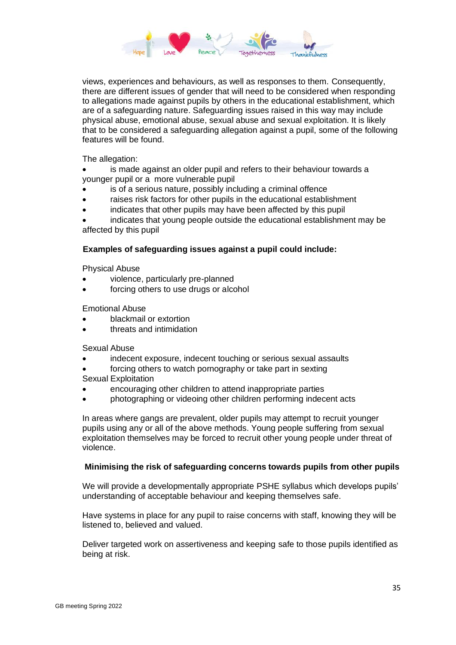

views, experiences and behaviours, as well as responses to them. Consequently, there are different issues of gender that will need to be considered when responding to allegations made against pupils by others in the educational establishment, which are of a safeguarding nature. Safeguarding issues raised in this way may include physical abuse, emotional abuse, sexual abuse and sexual exploitation. It is likely that to be considered a safeguarding allegation against a pupil, some of the following features will be found.

The allegation:

• is made against an older pupil and refers to their behaviour towards a younger pupil or a more vulnerable pupil

- is of a serious nature, possibly including a criminal offence
- raises risk factors for other pupils in the educational establishment
- indicates that other pupils may have been affected by this pupil

• indicates that young people outside the educational establishment may be affected by this pupil

#### **Examples of safeguarding issues against a pupil could include:**

Physical Abuse

- violence, particularly pre-planned
- forcing others to use drugs or alcohol

#### Emotional Abuse

- blackmail or extortion
- threats and intimidation

#### Sexual Abuse

- indecent exposure, indecent touching or serious sexual assaults
- forcing others to watch pornography or take part in sexting

Sexual Exploitation

- encouraging other children to attend inappropriate parties
- photographing or videoing other children performing indecent acts

In areas where gangs are prevalent, older pupils may attempt to recruit younger pupils using any or all of the above methods. Young people suffering from sexual exploitation themselves may be forced to recruit other young people under threat of violence.

#### **Minimising the risk of safeguarding concerns towards pupils from other pupils**

We will provide a developmentally appropriate PSHE syllabus which develops pupils' understanding of acceptable behaviour and keeping themselves safe.

Have systems in place for any pupil to raise concerns with staff, knowing they will be listened to, believed and valued.

Deliver targeted work on assertiveness and keeping safe to those pupils identified as being at risk.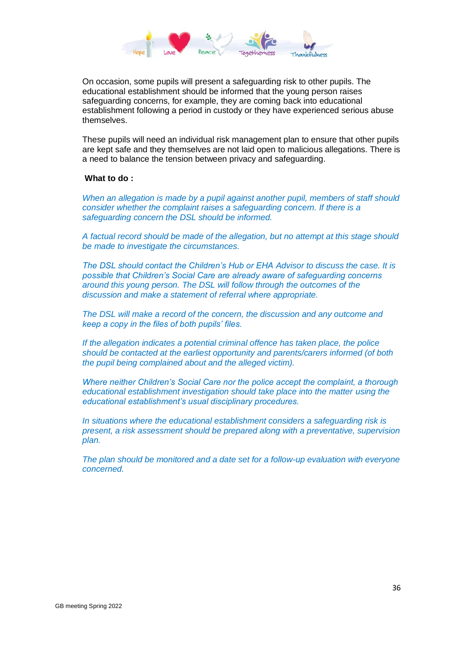

On occasion, some pupils will present a safeguarding risk to other pupils. The educational establishment should be informed that the young person raises safeguarding concerns, for example, they are coming back into educational establishment following a period in custody or they have experienced serious abuse themselves.

These pupils will need an individual risk management plan to ensure that other pupils are kept safe and they themselves are not laid open to malicious allegations. There is a need to balance the tension between privacy and safeguarding.

#### **What to do :**

*When an allegation is made by a pupil against another pupil, members of staff should consider whether the complaint raises a safeguarding concern. If there is a safeguarding concern the DSL should be informed.*

*A factual record should be made of the allegation, but no attempt at this stage should be made to investigate the circumstances.*

*The DSL should contact the Children's Hub or EHA Advisor to discuss the case. It is possible that Children's Social Care are already aware of safeguarding concerns around this young person. The DSL will follow through the outcomes of the discussion and make a statement of referral where appropriate.*

*The DSL will make a record of the concern, the discussion and any outcome and keep a copy in the files of both pupils' files.*

*If the allegation indicates a potential criminal offence has taken place, the police should be contacted at the earliest opportunity and parents/carers informed (of both the pupil being complained about and the alleged victim).*

*Where neither Children's Social Care nor the police accept the complaint, a thorough educational establishment investigation should take place into the matter using the educational establishment's usual disciplinary procedures.*

*In situations where the educational establishment considers a safeguarding risk is present, a risk assessment should be prepared along with a preventative, supervision plan.* 

*The plan should be monitored and a date set for a follow-up evaluation with everyone concerned.*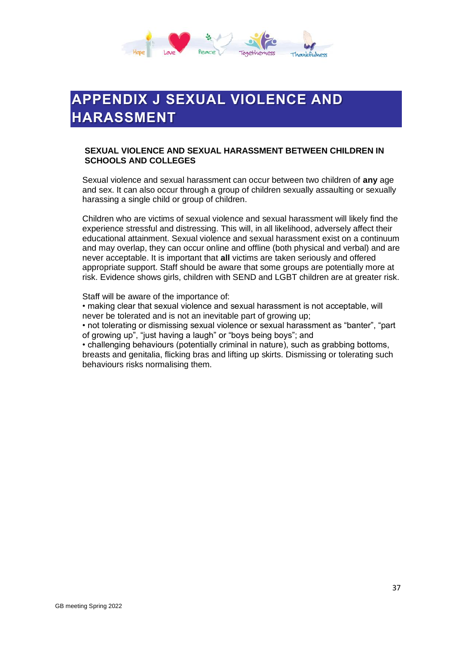

# <span id="page-36-0"></span>**APPENDIX J SEXUAL VIOLENCE AND HARASSMENT**

#### **SEXUAL VIOLENCE AND SEXUAL HARASSMENT BETWEEN CHILDREN IN SCHOOLS AND COLLEGES**

Sexual violence and sexual harassment can occur between two children of **any** age and sex. It can also occur through a group of children sexually assaulting or sexually harassing a single child or group of children.

Children who are victims of sexual violence and sexual harassment will likely find the experience stressful and distressing. This will, in all likelihood, adversely affect their educational attainment. Sexual violence and sexual harassment exist on a continuum and may overlap, they can occur online and offline (both physical and verbal) and are never acceptable. It is important that **all** victims are taken seriously and offered appropriate support. Staff should be aware that some groups are potentially more at risk. Evidence shows girls, children with SEND and LGBT children are at greater risk.

Staff will be aware of the importance of:

• making clear that sexual violence and sexual harassment is not acceptable, will never be tolerated and is not an inevitable part of growing up;

• not tolerating or dismissing sexual violence or sexual harassment as "banter", "part of growing up", "just having a laugh" or "boys being boys"; and

• challenging behaviours (potentially criminal in nature), such as grabbing bottoms, breasts and genitalia, flicking bras and lifting up skirts. Dismissing or tolerating such behaviours risks normalising them.